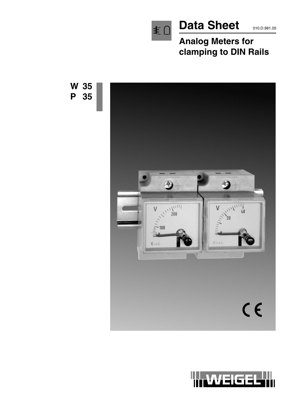

# Data Sheet 010.D.981.05

## **Analog Meters for clamping to DIN Rails**



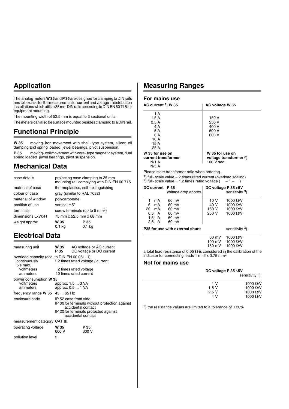## **Application**

The analog meters **W 35** and **P 35** are designed for clamping to DIN rails and to be used for the measurement of current and voltage in distribution installations which utilize 35 mm DIN rails according to DIN EN 60 715 for equipment mounting.

The mounting width of 52.5 mm is equal to 3 sectional units.

The meters can also be surface mounted besides clamping to a DIN rail.

### **Functional Principle**

**W 35** moving-iron movement with shell-type system, silicon oil damping and spring loaded jewel bearings, pivot suspension.

**P 35** moving-coil movement with core-type magnetic system, dual spring loaded jewel bearings, pivot suspension.

### **Mechanical Data**

| case details       |                                            | projecting case clamping to 35 mm<br>mounting rail complying with DIN EN 60 715 |
|--------------------|--------------------------------------------|---------------------------------------------------------------------------------|
| material of case   | thermoplastics, self-extinguishing         |                                                                                 |
| colour of case     | gray (similar to RAL 7032)                 |                                                                                 |
| material of window | polycarbonate                              |                                                                                 |
| position of use    | vertical $\pm 5^{\circ}$                   |                                                                                 |
| terminals          | screw terminals (up to 5 mm <sup>2</sup> ) |                                                                                 |
| dimensions LxWxH   | 75 mm x 52,5 mm x 68 mm                    |                                                                                 |
| weight approx.     | W 35<br>0.1 <sub>kq</sub>                  | P 35<br>$0.1$ kg                                                                |

### **Electrical Data**

| measuring unit                                                              | W 35<br>P 35  | AC voltage or AC current<br>DC voltage or DC current                                                                                                         |
|-----------------------------------------------------------------------------|---------------|--------------------------------------------------------------------------------------------------------------------------------------------------------------|
| overload capacity (acc. to DIN EN 60 051 - 1)<br>continuously<br>$5 s$ max. |               | 1.2 times rated voltage / current                                                                                                                            |
| voltmeters<br>ammeters                                                      |               | 2 times rated voltage<br>10 times rated current                                                                                                              |
| power consumption W 35                                                      |               |                                                                                                                                                              |
| voltmeters<br>ammeters                                                      |               | approx. 1.5  3 VA<br>approx. 0.5  1 VA                                                                                                                       |
| frequency range $W$ 35 45  65 Hz                                            |               |                                                                                                                                                              |
| enclosure code                                                              |               | IP 52 case front side<br>IP 00 for terminals without protection against<br>accidental contact<br>IP 20 for terminals protected against<br>accidental contact |
| measurement category CAT III                                                |               |                                                                                                                                                              |
| operating voltage                                                           | W 35<br>600 V | P 35<br>300 V                                                                                                                                                |
| pollution level                                                             | 2             |                                                                                                                                                              |

### **Measuring Ranges**

### **For mains use**

| AC current $1)$ W 35                                      | AC voltage W 35                                             |
|-----------------------------------------------------------|-------------------------------------------------------------|
| 1 A                                                       |                                                             |
| 1.5A                                                      | 150 V                                                       |
| 2.5A                                                      | 250 V                                                       |
| 4 A                                                       | 400 V                                                       |
| 5 A                                                       | 500 V                                                       |
| 6 A                                                       | 600 V                                                       |
| 10 A                                                      |                                                             |
| 15 A                                                      |                                                             |
| 25 A                                                      |                                                             |
| W 35 for use on<br>current transformer<br>$N/1$ A<br>N/5A | W 35 for use on<br>voltage transformer $2$ )<br>$100V$ sec. |

Please state transformer ratio when ordering.

<sup>1</sup>) full-scale value = 2 times rated current (overload scaling)  $^{2)}$  full-scale value = 1.2 times rated voltage ( – " – )

| DC current P 35                    |                    | voltage drop approx.             |                | DC voltage P 35 > 5V<br>sensitivity 3) |
|------------------------------------|--------------------|----------------------------------|----------------|----------------------------------------|
| 1<br>6                             | mA<br>mA           | 60 mV<br>60 mV                   | 10 V<br>40 V   | 1000 $\Omega$ /V<br>1000 Ω/V           |
| 20<br>$0.5\quad A$<br>$2.5\quad A$ | mA<br>$1.5\quad A$ | 60 mV<br>60 mV<br>60 mV<br>60 mV | 150 V<br>250 V | 1000 Ω/V<br>1000 $\Omega$ /V           |
|                                    |                    | P35 for use with external shunt  |                | sensitivity 3)                         |
|                                    |                    |                                  | $\sim$ $\sim$  | $\lambda$                              |

60 mV 1000 Ω/V<br>100 mV 1000 Ω/V  $100 \text{ mV}$   $1000 \Omega/V$ <br> $150 \text{ mV}$   $1000 \Omega/V$ 1000  $\Omega$ /V

a total lead resistance of 0.05  $\Omega$  is considered in the calibration of the indicator for connecting leads 1 m,  $2 \times 0.75$  mm<sup>2</sup>

#### **Not for mains use**

| DC voltage P $35 \leq 5V$<br>sensitivity <sup>3</sup> ) |                                      |
|---------------------------------------------------------|--------------------------------------|
| 1 V                                                     | 1000 $\Omega$ /V                     |
| 1.5V                                                    | 1000 $\Omega$ /V                     |
| 2.5V<br>4 V                                             | 1000 $\Omega$ /V<br>1000 $\Omega$ /V |

<sup>3</sup>) the resistance values are limited to a tolerance of  $\pm 20\%$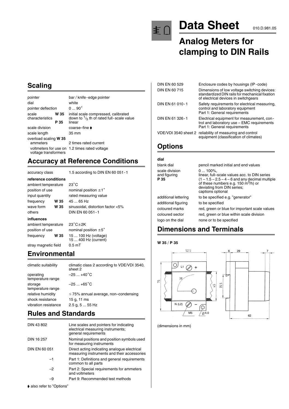

# Data Sheet 010.D.981.05

## **Analog Meters for clamping to DIN Rails**

### **Scaling**

| pointer                  |      | bar / knife-edge pointer                                                                   |
|--------------------------|------|--------------------------------------------------------------------------------------------|
| dial                     |      | white                                                                                      |
| pointer deflection       |      | $090^\circ$                                                                                |
| scale<br>characteristics | W 35 | initial scale compressed, calibrated<br>down to $\frac{1}{5}$ th of rated full-scale value |
|                          | P 35 | linear                                                                                     |
| scale division           |      | coarse–fine ▶                                                                              |
| scale length             |      | 35 mm                                                                                      |
| overload scaling W 35    |      |                                                                                            |
| ammeters                 |      | 2 times rated current                                                                      |
| voltage transformers     |      | voltmeters for use on 1.2 times rated voltage                                              |

### **Accuracy at Reference Conditions**

accuracy class 1.5 according to DIN EN 60 051-1

| reference conditions |                                              |
|----------------------|----------------------------------------------|
| ambient temperature  | $23^{\circ}$ C                               |
| position of use      | nominal position $\pm 1$ °                   |
| input quantity       | rated measuring value                        |
| W 35<br>frequency    | 45  65 Hz                                    |
| wave form<br>W 35    | sinusoidal, distortion factor <5%            |
| others               | DIN EN 60 051 - 1                            |
| influences           |                                              |
| ambient temperature  | $23^{\circ}$ C $\pm$ 2K                      |
| position of use      | nominal position $\pm 5^{\circ}$             |
| frequency<br>W 35    | 15  100 Hz (voltage)<br>15  400 Hz (current) |
| stray magnetic field | 0.5 <sub>mT</sub>                            |

### **Environmental**

| climatic suitability           | climatic class 2 according to VDE/VDI 3540,<br>sheet 2 |
|--------------------------------|--------------------------------------------------------|
| operating<br>temperature range | $-25+40^{\circ}C$                                      |
| storage<br>temperature range   | $-25+65^{\circ}C$                                      |
| relative humidity              | $\leq$ 75% annual average, non-condensing              |
| shock resistance               | 15 g, 11 ms                                            |
| vibration resistance           | $2.5$ g, $555$ Hz                                      |
|                                |                                                        |

## **Rules and Standards**

| DIN 43 802    | Line scales and pointers for indicating<br>electrical measuring instruments;<br>general requirements |
|---------------|------------------------------------------------------------------------------------------------------|
| DIN 16 257    | Nominal positions and position symbols used<br>for measuring instruments                             |
| DIN EN 60 051 | Direct acting indicating analogue electrical<br>measuring instruments and their accessories          |
| -1            | Part 1: Definitions and general requirements<br>common to all parts                                  |
| -2            | Part 2: Special requirements for ammeters<br>and voltmeters                                          |
| -9            | Part 9: Recommended test methods                                                                     |

| DIN EN 60 529   | Enclosure codes by housings (IP-code)                                                                                                  |
|-----------------|----------------------------------------------------------------------------------------------------------------------------------------|
| DIN EN 60 715   | Dimensions of low voltage switching devices:<br>standardized DIN rails for mechanical fixation<br>of electrical devices in switchgears |
| DIN EN 61 010-1 | Safety requirements for electrical measuring,<br>control and laboratory equipment<br>Part 1: General requirements                      |
| DIN EN 61 326-1 | Electrical equipment for measurement, con-<br>trol and laboratory use - EMC requirements<br>Part 1: General requirements               |
|                 | VDE/VDI 3540 sheet 2 reliability of measuring and control<br>equipment (classification of climates)                                    |

### **Options**

| dial                                   |                                                                                                                                                                                                                      |
|----------------------------------------|----------------------------------------------------------------------------------------------------------------------------------------------------------------------------------------------------------------------|
| blank dial                             | pencil marked initial and end values                                                                                                                                                                                 |
| scale division<br>and figuring<br>P 35 | $0100\%$ .<br>linear, full–scale values acc, to DIN series<br>$(1 - 1.5 - 2.5 - 4 - 6$ and any decimal multiple<br>of these numbers e.g. $150 \text{ m}^3$ /h) or<br>deviating from DIN series;<br>captions optional |
| additional lettering                   | to be specified e.g. "generator"                                                                                                                                                                                     |
| additional figuring                    | to be specified                                                                                                                                                                                                      |
| coloured marks                         | red, green or blue for important scale values                                                                                                                                                                        |
| coloured sector                        | red, green or blue within scale division                                                                                                                                                                             |
| logo on the dial                       | none or to be specified                                                                                                                                                                                              |

### **Dimensions and Terminals**



(dimensions in mm)

 $\blacklozenge$  also refer to "Options"